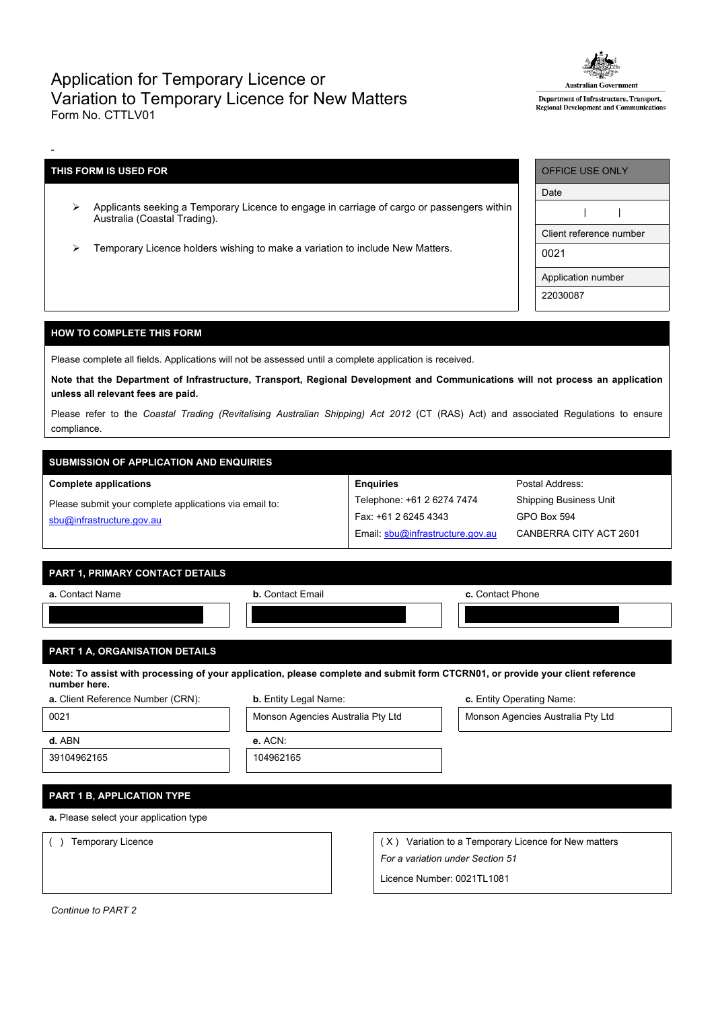## Application for Temporary Licence or Variation to Temporary Licence for New Matters Form No. CTTLV01



Department of Infrastructure, Transport, Regional Development and Communicati

## **THIS FORM IS USED FOR**

-

- Applicants seeking a Temporary Licence to engage in carriage of cargo or passengers within Australia (Coastal Trading).
- Temporary Licence holders wishing to make a variation to include New Matters.

| <b>OFFICE USE ONLY</b>  |  |  |  |  |
|-------------------------|--|--|--|--|
| Date                    |  |  |  |  |
|                         |  |  |  |  |
| Client reference number |  |  |  |  |
| 0021                    |  |  |  |  |
| Application number      |  |  |  |  |
| 22030087                |  |  |  |  |

## **HOW TO COMPLETE THIS FORM**

Please complete all fields. Applications will not be assessed until a complete application is received.

Note that the Department of Infrastructure, Transport, Regional Development and Communications will not process an application **unless all relevant fees are paid.**

Please refer to the *Coastal Trading (Revitalising Australian Shipping) Act 2012* (CT (RAS) Act) and associated Regulations to ensure compliance.

**Enquiries**

Telephone: +61 2 6274 7474 Fax: +61 2 6245 4343

Email: [sbu@infrastructure.gov.au](mailto:sbu@infrastructure.gov.au)

# **SUBMISSION OF APPLICATION AND ENQUIRIES**

#### **Complete applications**

Please submit your complete applications via email to: [sbu@infrastructure.gov.au](mailto:sbu@infrastructure.gov.au)

|  | <b>PART 1. PRIMARY CONTACT DETAILS</b> |  |
|--|----------------------------------------|--|
|  |                                        |  |

| a. Contact Name | <b>b.</b> Contact Email | c. Contact Phone |
|-----------------|-------------------------|------------------|
|                 |                         |                  |
|                 |                         |                  |

## **PART 1 A, ORGANISATION DETAILS**

Note: To assist with processing of your application, please complete and submit form CTCRN01, or provide your client reference **number here.**

| a. Client Reference Number (CRN) |  |
|----------------------------------|--|
|----------------------------------|--|

| <b>b.</b> Entity Legal Name: | c. Entity Operating Name: |
|------------------------------|---------------------------|
|                              |                           |



Postal Address: Shipping Business Unit

GPO Box 594

CANBERRA CITY ACT 2601

39104962165 104962165

**a.** Please select your application type

**PART 1 B, APPLICATION TYPE**

() Temporary Licence ( X) Variation to a Temporary Licence for New matters *For a variation under Section 51*

Licence Number: 0021TL1081

*Continue to PART 2*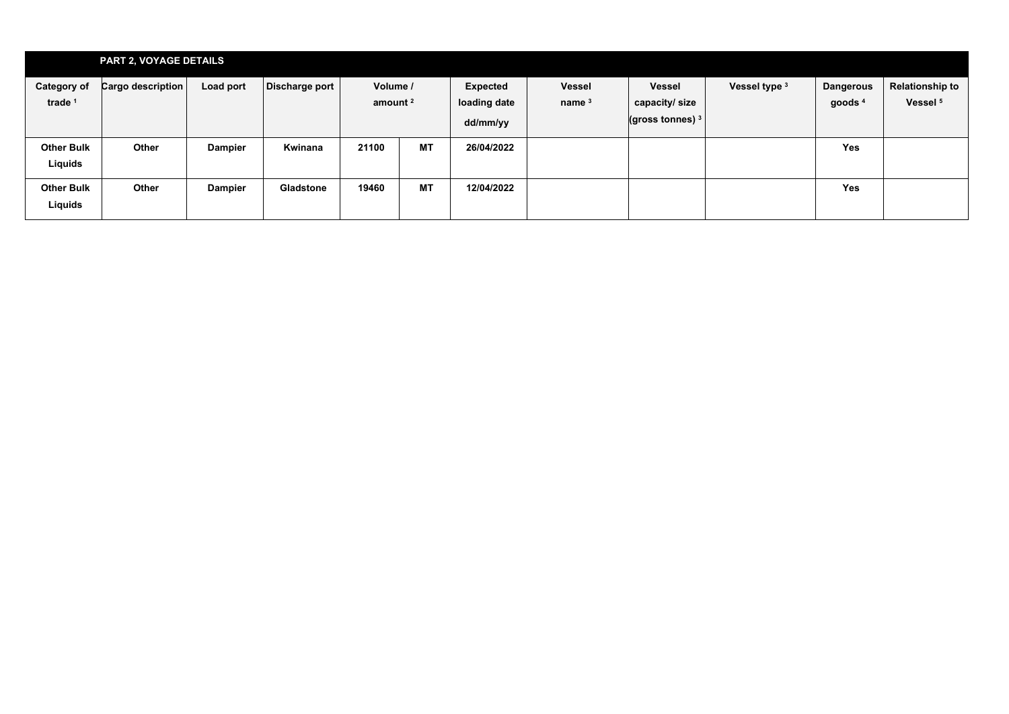|                                          | <b>PART 2, VOYAGE DETAILS</b> |                |                  |                                 |           |                                             |                           |                                                      |               |                                        |                                               |
|------------------------------------------|-------------------------------|----------------|------------------|---------------------------------|-----------|---------------------------------------------|---------------------------|------------------------------------------------------|---------------|----------------------------------------|-----------------------------------------------|
| <b>Category of</b><br>trade <sup>1</sup> | Cargo description             | Load port      | Discharge port   | Volume /<br>amount <sup>2</sup> |           | <b>Expected</b><br>loading date<br>dd/mm/yy | <b>Vessel</b><br>name $3$ | <b>Vessel</b><br>capacity/size<br>(gross tonnes) $3$ | Vessel type 3 | <b>Dangerous</b><br>goods <sup>4</sup> | <b>Relationship to</b><br>Vessel <sup>5</sup> |
| <b>Other Bulk</b><br>Liquids             | Other                         | <b>Dampier</b> | Kwinana          | 21100                           | <b>MT</b> | 26/04/2022                                  |                           |                                                      |               | <b>Yes</b>                             |                                               |
| <b>Other Bulk</b><br>Liquids             | Other                         | <b>Dampier</b> | <b>Gladstone</b> | 19460                           | <b>MT</b> | 12/04/2022                                  |                           |                                                      |               | <b>Yes</b>                             |                                               |